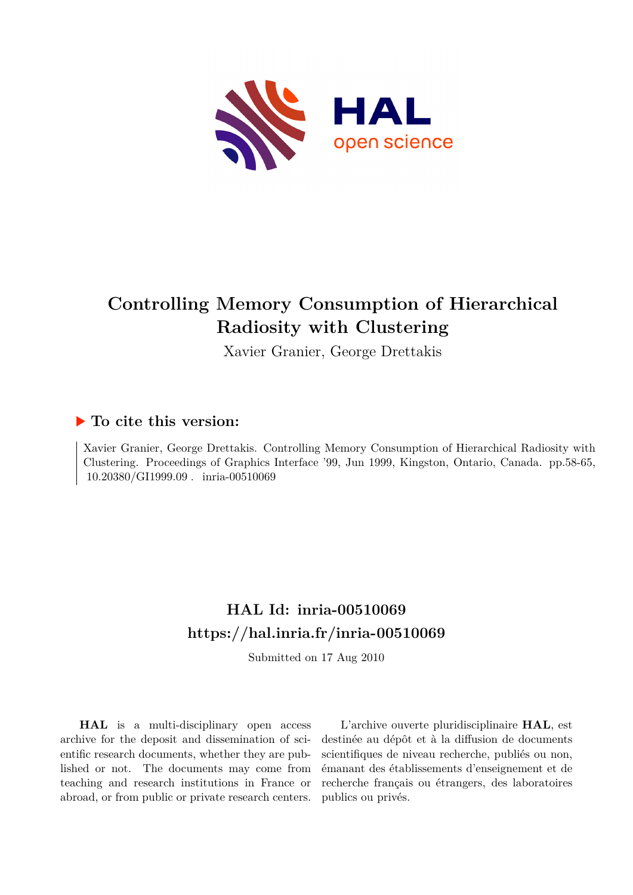

# **Controlling Memory Consumption of Hierarchical Radiosity with Clustering**

Xavier Granier, George Drettakis

## **To cite this version:**

Xavier Granier, George Drettakis. Controlling Memory Consumption of Hierarchical Radiosity with Clustering. Proceedings of Graphics Interface '99, Jun 1999, Kingston, Ontario, Canada. pp.58-65, 10.20380/GI1999.09 . inria-00510069

## **HAL Id: inria-00510069 <https://hal.inria.fr/inria-00510069>**

Submitted on 17 Aug 2010

**HAL** is a multi-disciplinary open access archive for the deposit and dissemination of scientific research documents, whether they are published or not. The documents may come from teaching and research institutions in France or abroad, or from public or private research centers.

L'archive ouverte pluridisciplinaire **HAL**, est destinée au dépôt et à la diffusion de documents scientifiques de niveau recherche, publiés ou non, émanant des établissements d'enseignement et de recherche français ou étrangers, des laboratoires publics ou privés.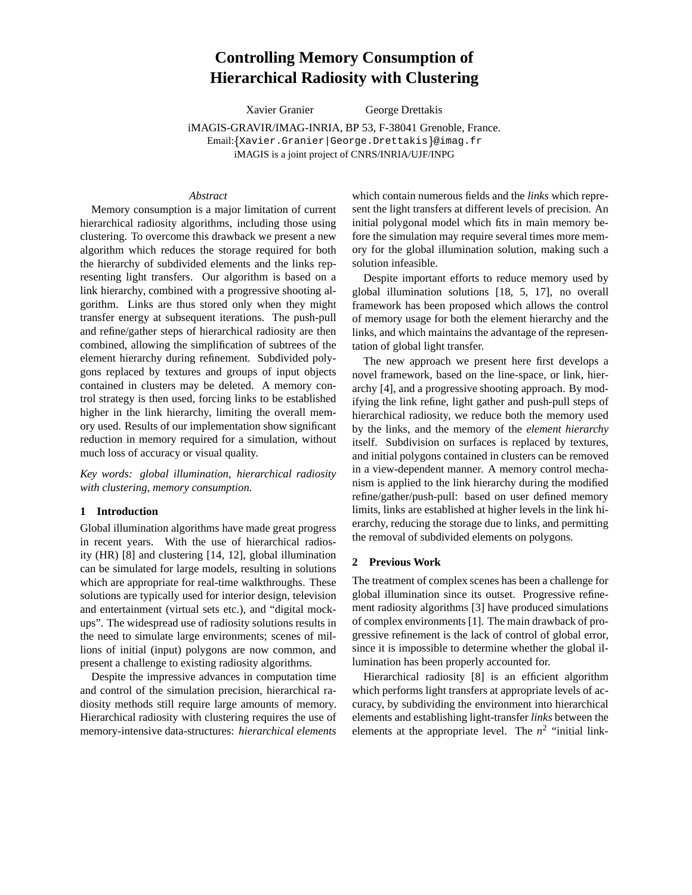### **Controlling Memory Consumption of Hierarchical Radiosity with Clustering**

Xavier Granier George Drettakis

iMAGIS-GRAVIR/IMAG-INRIA, BP 53, F-38041 Grenoble, France. Email: Xavier.Granier|George.Drettakis @imag.fr iMAGIS is a joint project of CNRS/INRIA/UJF/INPG

#### *Abstract*

Memory consumption is a major limitation of current hierarchical radiosity algorithms, including those using clustering. To overcome this drawback we present a new algorithm which reduces the storage required for both the hierarchy of subdivided elements and the links representing light transfers. Our algorithm is based on a link hierarchy, combined with a progressive shooting algorithm. Links are thus stored only when they might transfer energy at subsequent iterations. The push-pull and refine/gather steps of hierarchical radiosity are then combined, allowing the simplification of subtrees of the element hierarchy during refinement. Subdivided polygons replaced by textures and groups of input objects contained in clusters may be deleted. A memory control strategy is then used, forcing links to be established higher in the link hierarchy, limiting the overall memory used. Results of our implementation show significant reduction in memory required for a simulation, without much loss of accuracy or visual quality.

*Key words: global illumination, hierarchical radiosity with clustering, memory consumption.*

#### **1 Introduction**

Global illumination algorithms have made great progress in recent years. With the use of hierarchical radiosity (HR) [8] and clustering [14, 12], global illumination can be simulated for large models, resulting in solutions which are appropriate for real-time walkthroughs. These solutions are typically used for interior design, television and entertainment (virtual sets etc.), and "digital mockups". The widespread use of radiosity solutions results in the need to simulate large environments; scenes of millions of initial (input) polygons are now common, and present a challenge to existing radiosity algorithms.

Despite the impressive advances in computation time and control of the simulation precision, hierarchical radiosity methods still require large amounts of memory. Hierarchical radiosity with clustering requires the use of memory-intensive data-structures: *hierarchical elements*

which contain numerous fields and the *links* which represent the light transfers at different levels of precision. An initial polygonal model which fits in main memory before the simulation may require several times more memory for the global illumination solution, making such a solution infeasible.

Despite important efforts to reduce memory used by global illumination solutions [18, 5, 17], no overall framework has been proposed which allows the control of memory usage for both the element hierarchy and the links, and which maintains the advantage of the representation of global light transfer.

The new approach we present here first develops a novel framework, based on the line-space, or link, hierarchy [4], and a progressive shooting approach. By modifying the link refine, light gather and push-pull steps of hierarchical radiosity, we reduce both the memory used by the links, and the memory of the *element hierarchy* itself. Subdivision on surfaces is replaced by textures, and initial polygons contained in clusters can be removed in a view-dependent manner. A memory control mechanism is applied to the link hierarchy during the modified refine/gather/push-pull: based on user defined memory limits, links are established at higher levels in the link hierarchy, reducing the storage due to links, and permitting the removal of subdivided elements on polygons.

#### **2 Previous Work**

The treatment of complex scenes has been a challenge for global illumination since its outset. Progressive refinement radiosity algorithms [3] have produced simulations of complex environments [1]. The main drawback of progressive refinement is the lack of control of global error, since it is impossible to determine whether the global illumination has been properly accounted for.

Hierarchical radiosity [8] is an efficient algorithm which performs light transfers at appropriate levels of accuracy, by subdividing the environment into hierarchical elements and establishing light-transfer *links* between the elements at the appropriate level. The  $n^2$  "initial link-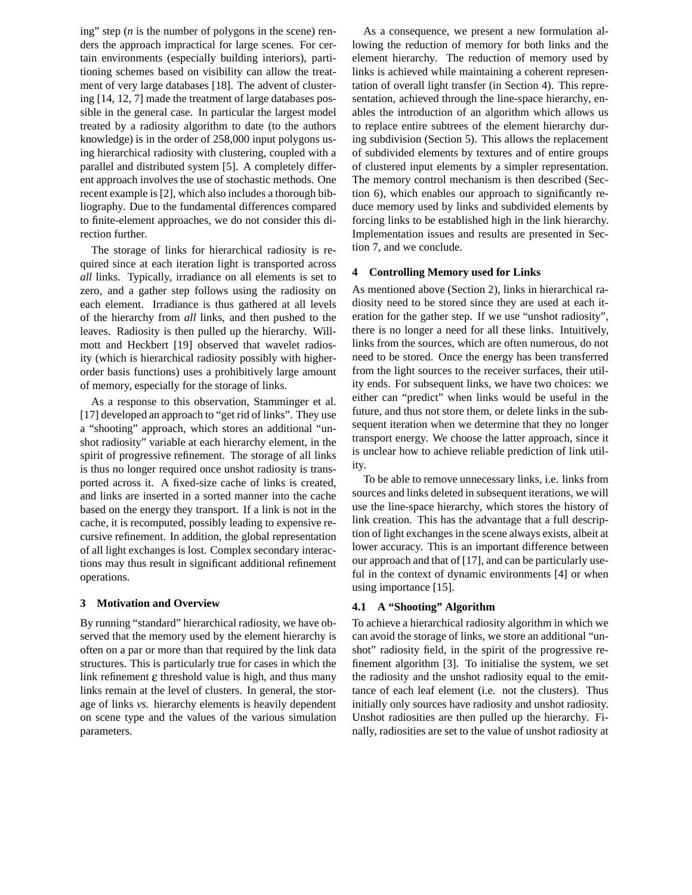ing" step (*n* is the number of polygons in the scene) renders the approach impractical for large scenes. For certain environments (especially building interiors), partitioning schemes based on visibility can allow the treatment of very large databases [18]. The advent of clustering [14, 12, 7] made the treatment of large databases possible in the general case. In particular the largest model treated by a radiosity algorithm to date (to the authors knowledge) is in the order of 258,000 input polygons using hierarchical radiosity with clustering, coupled with a parallel and distributed system [5]. A completely different approach involves the use of stochastic methods. One recent example is [2], which also includes a thorough bibliography. Due to the fundamental differences compared to finite-element approaches, we do not consider this direction further.

The storage of links for hierarchical radiosity is required since at each iteration light is transported across *all* links. Typically, irradiance on all elements is set to zero, and a gather step follows using the radiosity on each element. Irradiance is thus gathered at all levels of the hierarchy from *all* links, and then pushed to the leaves. Radiosity is then pulled up the hierarchy. Willmott and Heckbert [19] observed that wavelet radiosity (which is hierarchical radiosity possibly with higherorder basis functions) uses a prohibitively large amount of memory, especially for the storage of links.

As a response to this observation, Stamminger et al. [17] developed an approach to "get rid of links". They use a "shooting" approach, which stores an additional "unshot radiosity" variable at each hierarchy element, in the spirit of progressive refinement. The storage of all links is thus no longer required once unshot radiosity is transported across it. A fixed-size cache of links is created, and links are inserted in a sorted manner into the cache based on the energy they transport. If a link is not in the cache, it is recomputed, possibly leading to expensive recursive refinement. In addition, the global representation of all light exchanges is lost. Complex secondary interactions may thus result in significant additional refinement operations.

#### **3 Motivation and Overview**

By running "standard" hierarchical radiosity, we have observed that the memory used by the element hierarchy is often on a par or more than that required by the link data structures. This is particularly true for cases in which the link refinement  $\varepsilon$  threshold value is high, and thus many links remain at the level of clusters. In general, the storage of links *vs.* hierarchy elements is heavily dependent on scene type and the values of the various simulation parameters.

As a consequence, we present a new formulation allowing the reduction of memory for both links and the element hierarchy. The reduction of memory used by links is achieved while maintaining a coherent representation of overall light transfer (in Section 4). This representation, achieved through the line-space hierarchy, enables the introduction of an algorithm which allows us to replace entire subtrees of the element hierarchy during subdivision (Section 5). This allows the replacement of subdivided elements by textures and of entire groups of clustered input elements by a simpler representation. The memory control mechanism is then described (Section 6), which enables our approach to significantly reduce memory used by links and subdivided elements by forcing links to be established high in the link hierarchy. Implementation issues and results are presented in Section 7, and we conclude.

#### **4 Controlling Memory used for Links**

As mentioned above (Section 2), links in hierarchical radiosity need to be stored since they are used at each iteration for the gather step. If we use "unshot radiosity", there is no longer a need for all these links. Intuitively, links from the sources, which are often numerous, do not need to be stored. Once the energy has been transferred from the light sources to the receiver surfaces, their utility ends. For subsequent links, we have two choices: we either can "predict" when links would be useful in the future, and thus not store them, or delete links in the subsequent iteration when we determine that they no longer transport energy. We choose the latter approach, since it is unclear how to achieve reliable prediction of link utility.

To be able to remove unnecessary links, i.e. links from sources and links deleted in subsequent iterations, we will use the line-space hierarchy, which stores the history of link creation. This has the advantage that a full description of light exchanges in the scene always exists, albeit at lower accuracy. This is an important difference between our approach and that of [17], and can be particularly useful in the context of dynamic environments [4] or when using importance [15].

#### **4.1 A "Shooting" Algorithm**

To achieve a hierarchical radiosity algorithm in which we can avoid the storage of links, we store an additional "unshot" radiosity field, in the spirit of the progressive refinement algorithm [3]. To initialise the system, we set the radiosity and the unshot radiosity equal to the emittance of each leaf element (i.e. not the clusters). Thus initially only sources have radiosity and unshot radiosity. Unshot radiosities are then pulled up the hierarchy. Finally, radiosities are set to the value of unshot radiosity at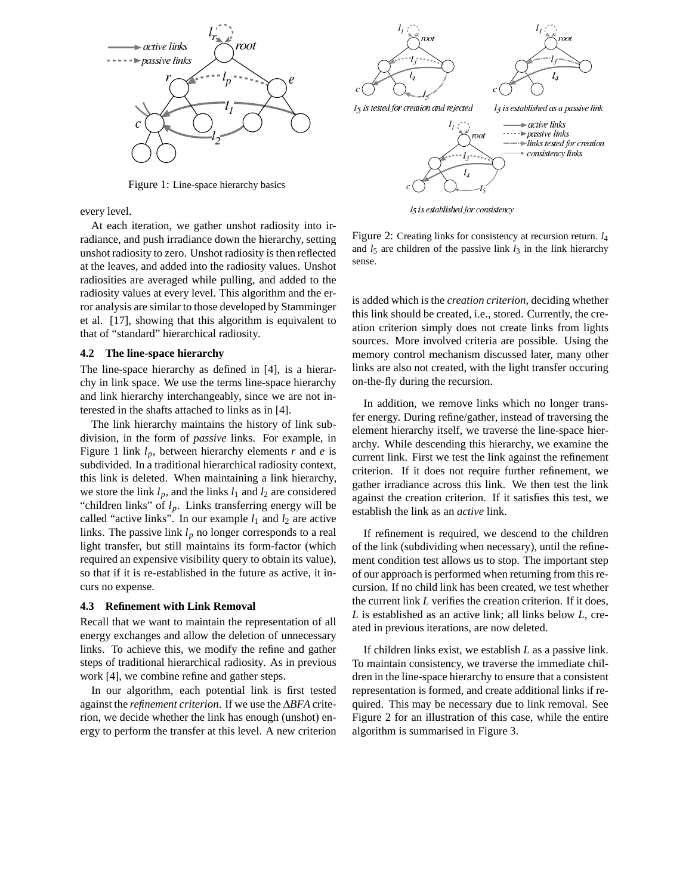

Figure 1: Line-space hierarchy basics

every level.

At each iteration, we gather unshot radiosity into irradiance, and push irradiance down the hierarchy, setting unshot radiosity to zero. Unshot radiosity is then reflected at the leaves, and added into the radiosity values. Unshot radiosities are averaged while pulling, and added to the radiosity values at every level. This algorithm and the error analysis are similar to those developed by Stamminger et al. [17], showing that this algorithm is equivalent to that of "standard" hierarchical radiosity.

#### **4.2 The line-space hierarchy**

The line-space hierarchy as defined in [4], is a hierarchy in link space. We use the terms line-space hierarchy and link hierarchy interchangeably, since we are not interested in the shafts attached to links as in [4].

The link hierarchy maintains the history of link subdivision, in the form of *passive* links. For example, in Figure 1 link *lp*, between hierarchy elements *r* and *e* is subdivided. In a traditional hierarchical radiosity context, this link is deleted. When maintaining a link hierarchy, we store the link  $l_p$ , and the links  $l_1$  and  $l_2$  are considered "children links" of  $l_p$ . Links transferring energy will be called "active links". In our example  $l_1$  and  $l_2$  are active links. The passive link *l<sup>p</sup>* no longer corresponds to a real light transfer, but still maintains its form-factor (which required an expensive visibility query to obtain its value), so that if it is re-established in the future as active, it incurs no expense.

#### **4.3 Refinement with Link Removal**

Recall that we want to maintain the representation of all energy exchanges and allow the deletion of unnecessary links. To achieve this, we modify the refine and gather steps of traditional hierarchical radiosity. As in previous work [4], we combine refine and gather steps.

In our algorithm, each potential link is first tested against the *refinement criterion*. If we use the  $\Delta BFA$  criterion, we decide whether the link has enough (unshot) energy to perform the transfer at this level. A new criterion



 $l<sub>5</sub>$  is established for consistency

Figure 2: Creating links for consistency at recursion return. *l*<sup>4</sup> and  $l_5$  are children of the passive link  $l_3$  in the link hierarchy sense.

is added which is the *creation criterion*, deciding whether this link should be created, i.e., stored. Currently, the creation criterion simply does not create links from lights sources. More involved criteria are possible. Using the memory control mechanism discussed later, many other links are also not created, with the light transfer occuring on-the-fly during the recursion.

In addition, we remove links which no longer transfer energy. During refine/gather, instead of traversing the element hierarchy itself, we traverse the line-space hierarchy. While descending this hierarchy, we examine the current link. First we test the link against the refinement criterion. If it does not require further refinement, we gather irradiance across this link. We then test the link against the creation criterion. If it satisfies this test, we establish the link as an *active* link.

If refinement is required, we descend to the children of the link (subdividing when necessary), until the refinement condition test allows us to stop. The important step of our approach is performed when returning from this recursion. If no child link has been created, we test whether the current link *L* verifies the creation criterion. If it does, *L* is established as an active link; all links below *L*, created in previous iterations, are now deleted.

If children links exist, we establish *L* as a passive link. To maintain consistency, we traverse the immediate children in the line-space hierarchy to ensure that a consistent representation is formed, and create additional links if required. This may be necessary due to link removal. See Figure 2 for an illustration of this case, while the entire algorithm is summarised in Figure 3.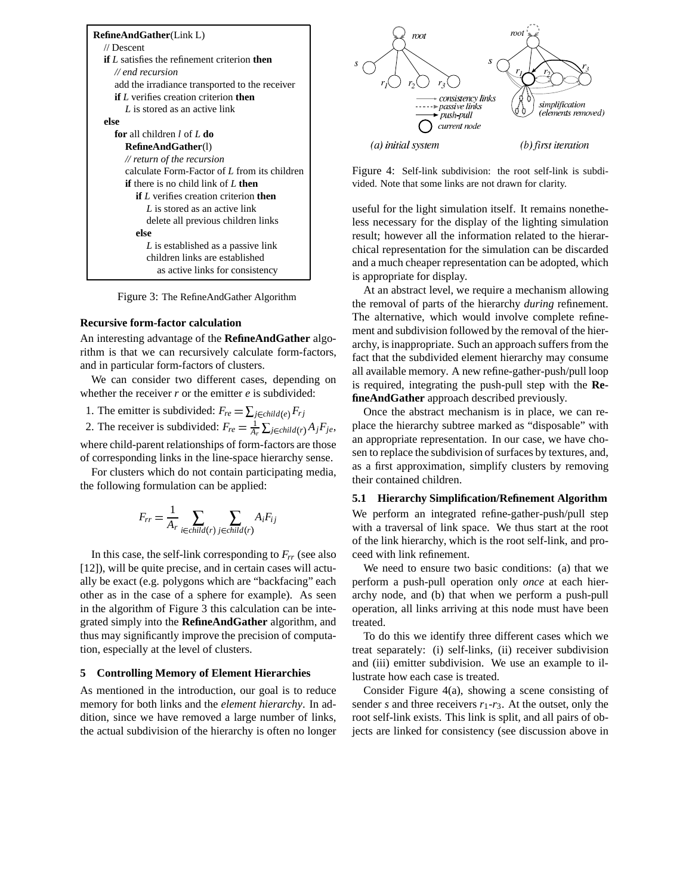| <b>RefineAndGather(Link L)</b>                             |
|------------------------------------------------------------|
| $\mathcal{U}$ Descent                                      |
| <b>if</b> L satisfies the refinement criterion <b>then</b> |
| $\mathcal{U}$ end recursion                                |
| add the irradiance transported to the receiver             |
| <b>if</b> $L$ verifies creation criterion <b>then</b>      |
| L is stored as an active link                              |
| else                                                       |
| for all children $l$ of $L$ do                             |
| RefineAndGather(1)                                         |
| // return of the recursion                                 |
| calculate Form-Factor of L from its children               |
| <b>if</b> there is no child link of $L$ then               |
| <b>if</b> $L$ verifies creation criterion <b>then</b>      |
| L is stored as an active link                              |
| delete all previous children links                         |
| else                                                       |
| L is established as a passive link                         |
| children links are established                             |
| as active links for consistency                            |

Figure 3: The RefineAndGather Algorithm

#### **Recursive form-factor calculation**

An interesting advantage of the **RefineAndGather** algorithm is that we can recursively calculate form-factors, and in particular form-factors of clusters.

We can consider two different cases, depending on whether the receiver  $r$  or the emitter  $e$  is subdivided:

1. The emitter is subdivided:  $F_{re} = \sum_{j \in child(e)} F_{rj}$ 

2. The receiver is subdivided:  $F_{re} = \frac{1}{A_r} \sum_{j \in child(r)} A_j F_{je}$ , where child-parent relationships of form-factors are those of corresponding links in the line-space hierarchy sense.

For clusters which do not contain participating media, the following formulation can be applied:

$$
F_{rr} = \frac{1}{A_r} \sum_{i \in child(r)} \sum_{j \in child(r)} A_i F_{ij}
$$

In this case, the self-link corresponding to *Frr* (see also [12]), will be quite precise, and in certain cases will actually be exact (e.g. polygons which are "backfacing" each other as in the case of a sphere for example). As seen in the algorithm of Figure 3 this calculation can be integrated simply into the **RefineAndGather** algorithm, and thus may significantly improve the precision of computation, especially at the level of clusters.

#### **5 Controlling Memory of Element Hierarchies**

As mentioned in the introduction, our goal is to reduce memory for both links and the *element hierarchy*. In addition, since we have removed a large number of links, the actual subdivision of the hierarchy is often no longer



Figure 4: Self-link subdivision: the root self-link is subdivided. Note that some links are not drawn for clarity.

useful for the light simulation itself. It remains nonetheless necessary for the display of the lighting simulation result; however all the information related to the hierarchical representation for the simulation can be discarded and a much cheaper representation can be adopted, which is appropriate for display.

At an abstract level, we require a mechanism allowing the removal of parts of the hierarchy *during* refinement. The alternative, which would involve complete refinement and subdivision followed by the removal of the hierarchy, is inappropriate. Such an approach suffers from the fact that the subdivided element hierarchy may consume all available memory. A new refine-gather-push/pull loop is required, integrating the push-pull step with the **RefineAndGather** approach described previously.

Once the abstract mechanism is in place, we can replace the hierarchy subtree marked as "disposable" with an appropriate representation. In our case, we have chosen to replace the subdivision of surfaces by textures, and, as a first approximation, simplify clusters by removing their contained children.

#### **5.1 Hierarchy Simplification/Refinement Algorithm**

We perform an integrated refine-gather-push/pull step with a traversal of link space. We thus start at the root of the link hierarchy, which is the root self-link, and proceed with link refinement.

We need to ensure two basic conditions: (a) that we perform a push-pull operation only *once* at each hierarchy node, and (b) that when we perform a push-pull operation, all links arriving at this node must have been treated.

To do this we identify three different cases which we treat separately: (i) self-links, (ii) receiver subdivision and (iii) emitter subdivision. We use an example to illustrate how each case is treated.

Consider Figure 4(a), showing a scene consisting of sender *s* and three receivers  $r_1$ - $r_3$ . At the outset, only the root self-link exists. This link is split, and all pairs of objects are linked for consistency (see discussion above in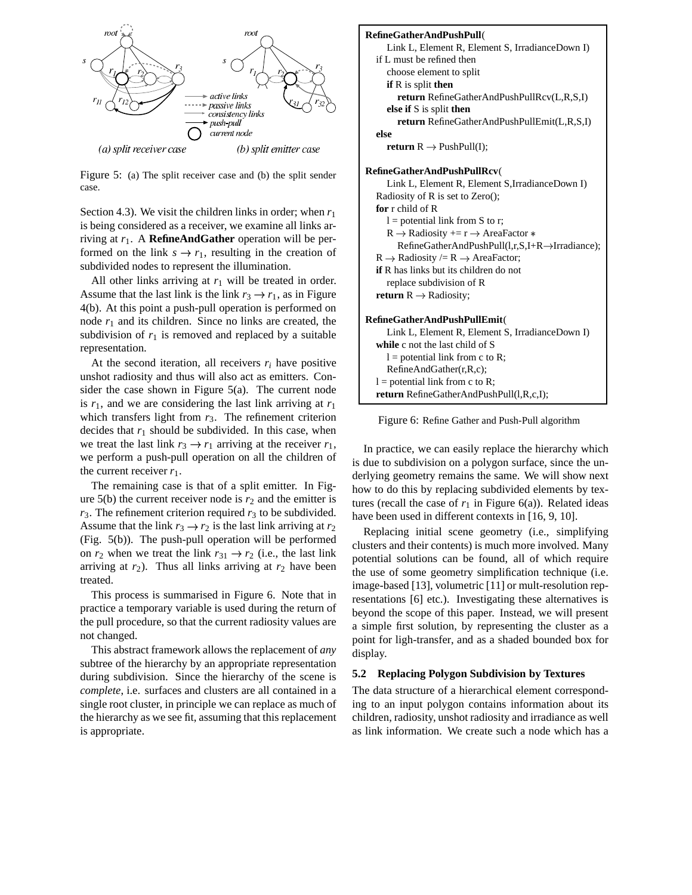

Figure 5: (a) The split receiver case and (b) the split sender case.

Section 4.3). We visit the children links in order; when  $r_1$ is being considered as a receiver, we examine all links arriving at *r*1. A **RefineAndGather** operation will be performed on the link  $s \rightarrow r_1$ , resulting in the creation of subdivided nodes to represent the illumination.

All other links arriving at  $r_1$  will be treated in order. Assume that the last link is the link  $r_3 \rightarrow r_1$ , as in Figure 4(b). At this point a push-pull operation is performed on node  $r_1$  and its children. Since no links are created, the subdivision of  $r_1$  is removed and replaced by a suitable representation.

At the second iteration, all receivers *r<sup>i</sup>* have positive unshot radiosity and thus will also act as emitters. Consider the case shown in Figure 5(a). The current node is  $r_1$ , and we are considering the last link arriving at  $r_1$ which transfers light from  $r_3$ . The refinement criterion decides that  $r_1$  should be subdivided. In this case, when we treat the last link  $r_3 \rightarrow r_1$  arriving at the receiver  $r_1$ , we perform a push-pull operation on all the children of the current receiver  $r_1$ .

The remaining case is that of a split emitter. In Figure  $5(b)$  the current receiver node is  $r_2$  and the emitter is  $r_3$ . The refinement criterion required  $r_3$  to be subdivided. Assume that the link  $r_3 \rightarrow r_2$  is the last link arriving at  $r_2$ (Fig. 5(b)). The push-pull operation will be performed on  $r_2$  when we treat the link  $r_{31} \rightarrow r_2$  (i.e., the last link arriving at  $r_2$ ). Thus all links arriving at  $r_2$  have been treated.

This process is summarised in Figure 6. Note that in practice a temporary variable is used during the return of the pull procedure, so that the current radiosity values are not changed.

This abstract framework allows the replacement of *any* subtree of the hierarchy by an appropriate representation during subdivision. Since the hierarchy of the scene is *complete*, i.e. surfaces and clusters are all contained in a single root cluster, in principle we can replace as much of the hierarchy as we see fit, assuming that this replacement is appropriate.



Figure 6: Refine Gather and Push-Pull algorithm

In practice, we can easily replace the hierarchy which is due to subdivision on a polygon surface, since the underlying geometry remains the same. We will show next how to do this by replacing subdivided elements by textures (recall the case of  $r_1$  in Figure 6(a)). Related ideas have been used in different contexts in [16, 9, 10].

Replacing initial scene geometry (i.e., simplifying clusters and their contents) is much more involved. Many potential solutions can be found, all of which require the use of some geometry simplification technique (i.e. image-based [13], volumetric [11] or mult-resolution representations [6] etc.). Investigating these alternatives is beyond the scope of this paper. Instead, we will present a simple first solution, by representing the cluster as a point for ligh-transfer, and as a shaded bounded box for display.

#### **5.2 Replacing Polygon Subdivision by Textures**

The data structure of a hierarchical element corresponding to an input polygon contains information about its children, radiosity, unshot radiosity and irradiance as well as link information. We create such a node which has a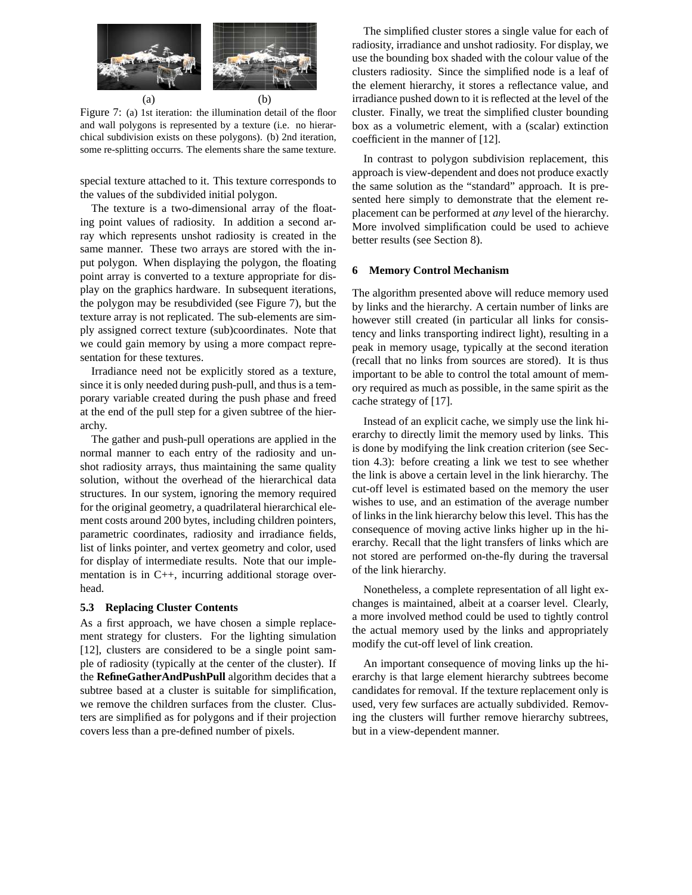

(a)  $(b)$ Figure 7: (a) 1st iteration: the illumination detail of the floor and wall polygons is represented by a texture (i.e. no hierarchical subdivision exists on these polygons). (b) 2nd iteration, some re-splitting occurrs. The elements share the same texture.

special texture attached to it. This texture corresponds to the values of the subdivided initial polygon.

The texture is a two-dimensional array of the floating point values of radiosity. In addition a second array which represents unshot radiosity is created in the same manner. These two arrays are stored with the input polygon. When displaying the polygon, the floating point array is converted to a texture appropriate for display on the graphics hardware. In subsequent iterations, the polygon may be resubdivided (see Figure 7), but the texture array is not replicated. The sub-elements are simply assigned correct texture (sub)coordinates. Note that we could gain memory by using a more compact representation for these textures.

Irradiance need not be explicitly stored as a texture, since it is only needed during push-pull, and thus is a temporary variable created during the push phase and freed at the end of the pull step for a given subtree of the hierarchy.

The gather and push-pull operations are applied in the normal manner to each entry of the radiosity and unshot radiosity arrays, thus maintaining the same quality solution, without the overhead of the hierarchical data structures. In our system, ignoring the memory required for the original geometry, a quadrilateral hierarchical element costs around 200 bytes, including children pointers, parametric coordinates, radiosity and irradiance fields, list of links pointer, and vertex geometry and color, used for display of intermediate results. Note that our implementation is in C++, incurring additional storage overhead.

#### **5.3 Replacing Cluster Contents**

As a first approach, we have chosen a simple replacement strategy for clusters. For the lighting simulation [12], clusters are considered to be a single point sample of radiosity (typically at the center of the cluster). If the **RefineGatherAndPushPull** algorithm decides that a subtree based at a cluster is suitable for simplification, we remove the children surfaces from the cluster. Clusters are simplified as for polygons and if their projection covers less than a pre-defined number of pixels.

The simplified cluster stores a single value for each of radiosity, irradiance and unshot radiosity. For display, we use the bounding box shaded with the colour value of the clusters radiosity. Since the simplified node is a leaf of the element hierarchy, it stores a reflectance value, and irradiance pushed down to it is reflected at the level of the cluster. Finally, we treat the simplified cluster bounding box as a volumetric element, with a (scalar) extinction coefficient in the manner of [12].

In contrast to polygon subdivision replacement, this approach is view-dependent and does not produce exactly the same solution as the "standard" approach. It is presented here simply to demonstrate that the element replacement can be performed at *any* level of the hierarchy. More involved simplification could be used to achieve better results (see Section 8).

#### **6 Memory Control Mechanism**

The algorithm presented above will reduce memory used by links and the hierarchy. A certain number of links are however still created (in particular all links for consistency and links transporting indirect light), resulting in a peak in memory usage, typically at the second iteration (recall that no links from sources are stored). It is thus important to be able to control the total amount of memory required as much as possible, in the same spirit as the cache strategy of [17].

Instead of an explicit cache, we simply use the link hierarchy to directly limit the memory used by links. This is done by modifying the link creation criterion (see Section 4.3): before creating a link we test to see whether the link is above a certain level in the link hierarchy. The cut-off level is estimated based on the memory the user wishes to use, and an estimation of the average number of links in the link hierarchy below this level. This has the consequence of moving active links higher up in the hierarchy. Recall that the light transfers of links which are not stored are performed on-the-fly during the traversal of the link hierarchy.

Nonetheless, a complete representation of all light exchanges is maintained, albeit at a coarser level. Clearly, a more involved method could be used to tightly control the actual memory used by the links and appropriately modify the cut-off level of link creation.

An important consequence of moving links up the hierarchy is that large element hierarchy subtrees become candidates for removal. If the texture replacement only is used, very few surfaces are actually subdivided. Removing the clusters will further remove hierarchy subtrees, but in a view-dependent manner.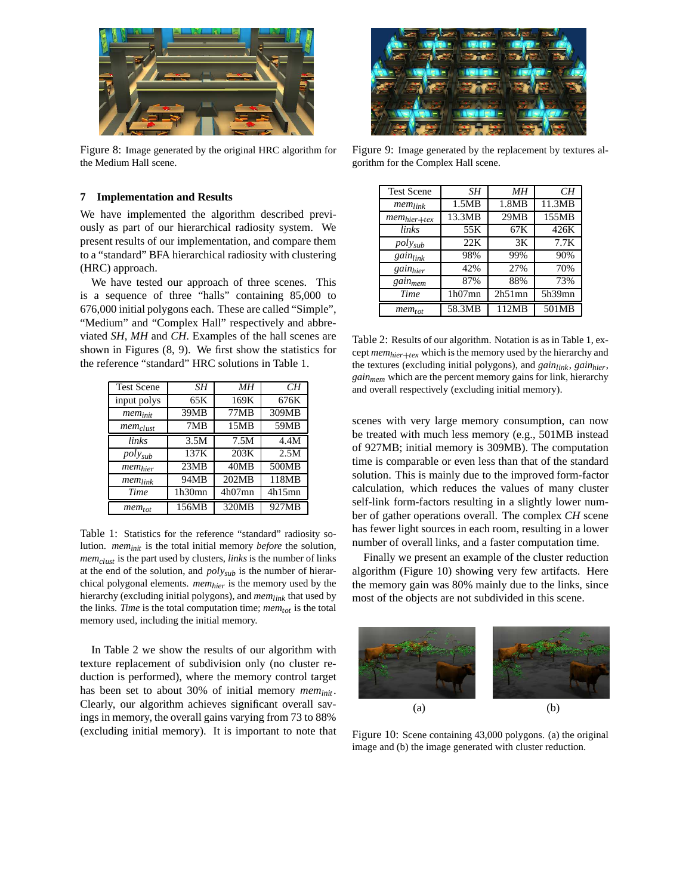

Figure 8: Image generated by the original HRC algorithm for the Medium Hall scene.

#### **7 Implementation and Results**

We have implemented the algorithm described previously as part of our hierarchical radiosity system. We present results of our implementation, and compare them to a "standard" BFA hierarchical radiosity with clustering (HRC) approach.

We have tested our approach of three scenes. This is a sequence of three "halls" containing 85,000 to 676,000 initial polygons each. These are called "Simple", "Medium" and "Complex Hall" respectively and abbreviated *SH*, *MH* and *CH*. Examples of the hall scenes are shown in Figures (8, 9). We first show the statistics for the reference "standard" HRC solutions in Table 1.

| <b>Test Scene</b>   | SН     | MН        | CН     |
|---------------------|--------|-----------|--------|
| input polys         | 65K    | 169K      | 676K   |
| $mem_{init}$        | 39MB   | 77MB      | 309MB  |
| $mem_{clust}$       | 7MB    | 15MB      | 59MB   |
| links               | 3.5M   | 7.5M      | 4.4M   |
| $poly_{sub}$        | 137K   | 203K      | 2.5M   |
| mem <sub>hier</sub> | 23MB   | 40MB      | 500MB  |
| $mem_{link}$        | 94MB   | 202MB     | 118MB  |
| Time                | 1h30mn | $4h07$ mn | 4h15mn |
| $mem_{tot}$         | 156MB  | 320MB     | 927MB  |

Table 1: Statistics for the reference "standard" radiosity solution. *meminit* is the total initial memory *before* the solution, *memclust* is the part used by clusters, *links* is the number of links at the end of the solution, and *polysub* is the number of hierarchical polygonal elements. *memhier* is the memory used by the hierarchy (excluding initial polygons), and *memlink* that used by the links. *Time* is the total computation time; *memtot* is the total memory used, including the initial memory.

In Table 2 we show the results of our algorithm with texture replacement of subdivision only (no cluster reduction is performed), where the memory control target has been set to about 30% of initial memory *meminit* . Clearly, our algorithm achieves significant overall savings in memory, the overall gains varying from 73 to 88% (excluding initial memory). It is important to note that



Figure 9: Image generated by the replacement by textures algorithm for the Complex Hall scene.

| <b>Test Scene</b>   | SΗ        | MН        | CH     |
|---------------------|-----------|-----------|--------|
| $mem_{link}$        | 1.5MB     | 1.8MB     | 11.3MB |
| $mem_{hier+text}$   | 13.3MB    | 29MB      | 155MB  |
| links               | 55K       | 67K       | 426K   |
| $poly_{sub}$        | 22K       | 3K        | 7.7K   |
| gainlink            | 98%       | 99%       | 90%    |
| gainhier            | 42%       | 27%       | 70%    |
| gain <sub>mem</sub> | 87%       | 88%       | 73%    |
| Time                | $1h07$ mn | $2h51$ mn | 5h39mn |
| $mem_{tot}$         | 58.3MB    | 112MB     | 501MB  |

Table 2: Results of our algorithm. Notation is as in Table 1, except  $mem_{hier + tex}$  which is the memory used by the hierarchy and the textures (excluding initial polygons), and *gainlink*, *gainhier*, *gainmem* which are the percent memory gains for link, hierarchy and overall respectively (excluding initial memory).

scenes with very large memory consumption, can now be treated with much less memory (e.g., 501MB instead of 927MB; initial memory is 309MB). The computation time is comparable or even less than that of the standard solution. This is mainly due to the improved form-factor calculation, which reduces the values of many cluster self-link form-factors resulting in a slightly lower number of gather operations overall. The complex *CH* scene has fewer light sources in each room, resulting in a lower number of overall links, and a faster computation time.

Finally we present an example of the cluster reduction algorithm (Figure 10) showing very few artifacts. Here the memory gain was 80% mainly due to the links, since most of the objects are not subdivided in this scene.



Figure 10: Scene containing 43,000 polygons. (a) the original image and (b) the image generated with cluster reduction.